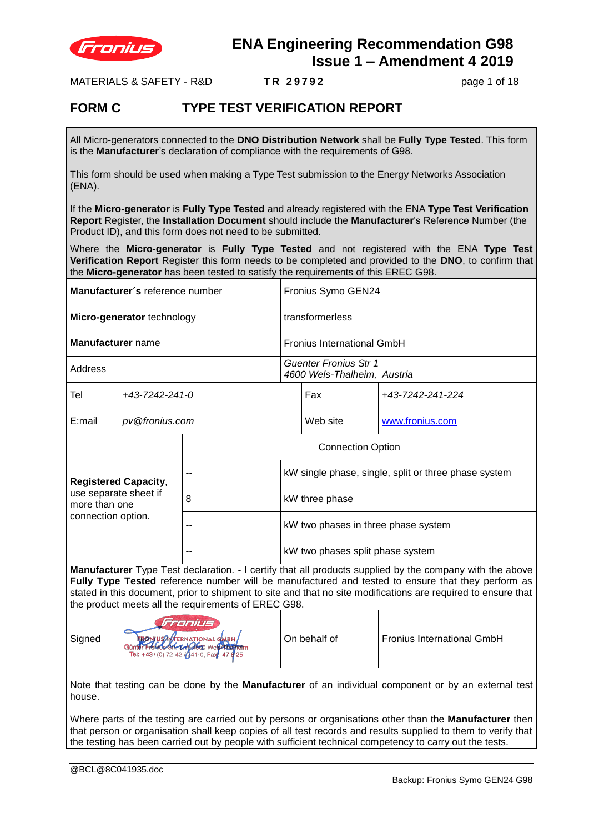

MATERIALS & SAFETY - R&D **T R 2 9 7 9 2** page 1 of 18

### **FORM C TYPE TEST VERIFICATION REPORT**

All Micro-generators connected to the **DNO Distribution Network** shall be **Fully Type Tested**. This form is the **Manufacturer**'s declaration of compliance with the requirements of G98.

This form should be used when making a Type Test submission to the Energy Networks Association (ENA).

If the **Micro-generator** is **Fully Type Tested** and already registered with the ENA **Type Test Verification Report** Register, the **Installation Document** should include the **Manufacturer**'s Reference Number (the Product ID), and this form does not need to be submitted.

Where the **Micro-generator** is **Fully Type Tested** and not registered with the ENA **Type Test Verification Report** Register this form needs to be completed and provided to the **DNO**, to confirm that the **Micro-generator** has been tested to satisfy the requirements of this EREC G98.

| Manufacturer's reference number |                |                                                      | Fronius Symo GEN24                |                  |  |  |
|---------------------------------|----------------|------------------------------------------------------|-----------------------------------|------------------|--|--|
| Micro-generator technology      |                |                                                      | transformerless                   |                  |  |  |
| Manufacturer name               |                |                                                      | <b>Fronius International GmbH</b> |                  |  |  |
| Address                         |                | Guenter Fronius Str 1<br>4600 Wels-Thalheim, Austria |                                   |                  |  |  |
| Tel                             | +43-7242-241-0 |                                                      | Fax                               | +43-7242-241-224 |  |  |
| pv@fronius.com<br>E:mail        |                |                                                      | Web site                          | www.fronius.com  |  |  |
|                                 |                |                                                      |                                   |                  |  |  |

|                                                                                             | <b>Connection Option</b> |                                                      |  |  |  |
|---------------------------------------------------------------------------------------------|--------------------------|------------------------------------------------------|--|--|--|
| <b>Registered Capacity,</b><br>use separate sheet if<br>more than one<br>connection option. |                          | kW single phase, single, split or three phase system |  |  |  |
|                                                                                             | 8                        | kW three phase                                       |  |  |  |
|                                                                                             | --                       | kW two phases in three phase system                  |  |  |  |
|                                                                                             | --                       | kW two phases split phase system                     |  |  |  |

**Manufacturer** Type Test declaration. - I certify that all products supplied by the company with the above **Fully Type Tested** reference number will be manufactured and tested to ensure that they perform as stated in this document, prior to shipment to site and that no site modifications are required to ensure that the product meets all the requirements of EREC G98.

| Signed | Fronius<br><b>FRONIUS AMERIATIONAL GABH/<br/>Günter Fronids St. Cal Goo Well Adamem</b><br>Tel: +43/(0) 72 42 /(341-0, Fax: 47 8 25 | On behalf of | <b>Fronius International GmbH</b> |
|--------|-------------------------------------------------------------------------------------------------------------------------------------|--------------|-----------------------------------|
|--------|-------------------------------------------------------------------------------------------------------------------------------------|--------------|-----------------------------------|

Note that testing can be done by the **Manufacturer** of an individual component or by an external test house.

Where parts of the testing are carried out by persons or organisations other than the **Manufacturer** then that person or organisation shall keep copies of all test records and results supplied to them to verify that the testing has been carried out by people with sufficient technical competency to carry out the tests.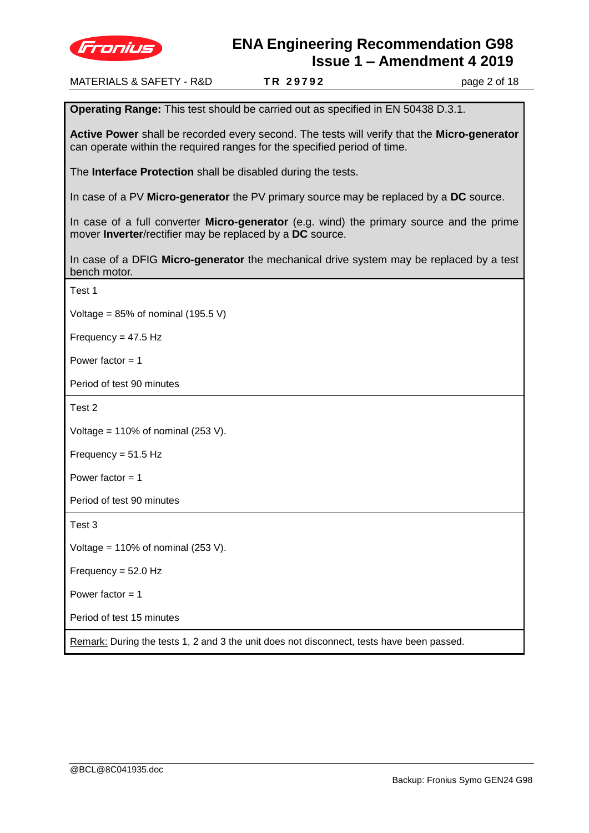

MATERIALS & SAFETY - R&D **T R 2 9 7 9 2** page 2 of 18 **Operating Range:** This test should be carried out as specified in EN 50438 D.3.1. **Active Power** shall be recorded every second. The tests will verify that the **Micro-generator**  can operate within the required ranges for the specified period of time. The **Interface Protection** shall be disabled during the tests. In case of a PV **Micro-generator** the PV primary source may be replaced by a **DC** source. In case of a full converter **Micro-generator** (e.g. wind) the primary source and the prime mover **Inverter**/rectifier may be replaced by a **DC** source. In case of a DFIG **Micro-generator** the mechanical drive system may be replaced by a test bench motor. Test 1 Voltage =  $85\%$  of nominal (195.5 V) Frequency = 47.5 Hz Power factor  $= 1$ Period of test 90 minutes Test 2 Voltage =  $110\%$  of nominal (253 V). Frequency = 51.5 Hz Power factor  $= 1$ Period of test 90 minutes Test 3 Voltage =  $110\%$  of nominal (253 V). Frequency = 52.0 Hz Power factor  $= 1$ Period of test 15 minutes Remark: During the tests 1, 2 and 3 the unit does not disconnect, tests have been passed.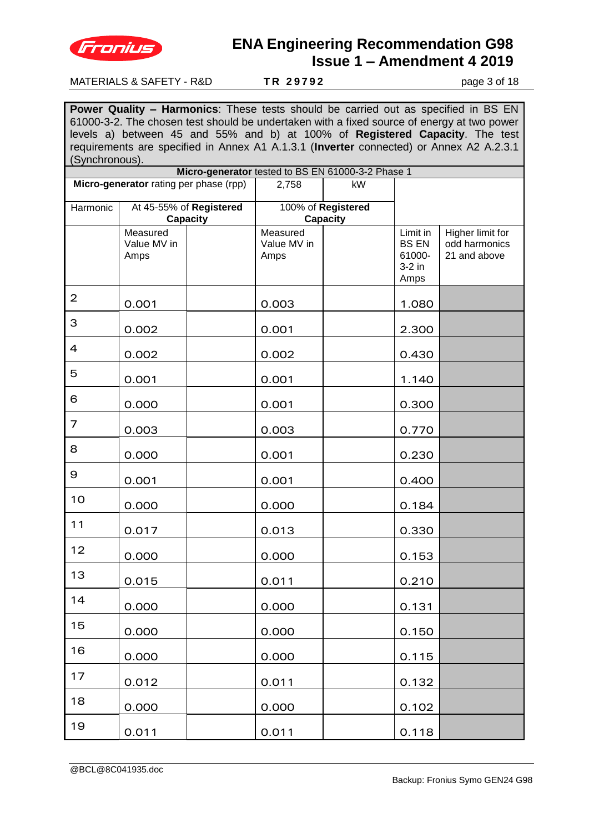

#### MATERIALS & SAFETY - R&D **T R 2 9 7 9 2** page 3 of 18

**Power Quality – Harmonics**: These tests should be carried out as specified in BS EN 61000-3-2. The chosen test should be undertaken with a fixed source of energy at two power levels a) between 45 and 55% and b) at 100% of **Registered Capacity**. The test requirements are specified in Annex A1 A.1.3.1 (**Inverter** connected) or Annex A2 A.2.3.1 (Synchronous).

|                                        |                                 |                                     |                                 | Micro-generator tested to BS EN 61000-3-2 Phase 1 |                                                        |                                                   |
|----------------------------------------|---------------------------------|-------------------------------------|---------------------------------|---------------------------------------------------|--------------------------------------------------------|---------------------------------------------------|
| Micro-generator rating per phase (rpp) |                                 | 2,758                               | kW                              |                                                   |                                                        |                                                   |
| Harmonic                               |                                 | At 45-55% of Registered<br>Capacity |                                 | 100% of Registered<br>Capacity                    |                                                        |                                                   |
|                                        | Measured<br>Value MV in<br>Amps |                                     | Measured<br>Value MV in<br>Amps |                                                   | Limit in<br><b>BS EN</b><br>61000-<br>$3-2$ in<br>Amps | Higher limit for<br>odd harmonics<br>21 and above |
| $\overline{2}$                         | 0.001                           |                                     | 0.003                           |                                                   | 1.080                                                  |                                                   |
| 3                                      | 0.002                           |                                     | 0.001                           |                                                   | 2.300                                                  |                                                   |
| $\overline{4}$                         | 0.002                           |                                     | 0.002                           |                                                   | 0.430                                                  |                                                   |
| 5                                      | 0.001                           |                                     | 0.001                           |                                                   | 1.140                                                  |                                                   |
| 6                                      | 0.000                           |                                     | 0.001                           |                                                   | 0.300                                                  |                                                   |
| 7                                      | 0.003                           |                                     | 0.003                           |                                                   | 0.770                                                  |                                                   |
| 8                                      | 0.000                           |                                     | 0.001                           |                                                   | 0.230                                                  |                                                   |
| 9                                      | 0.001                           |                                     | 0.001                           |                                                   | 0.400                                                  |                                                   |
| 10                                     | 0.000                           |                                     | 0.000                           |                                                   | 0.184                                                  |                                                   |
| 11                                     | 0.017                           |                                     | 0.013                           |                                                   | 0.330                                                  |                                                   |
| 12                                     | 0.000                           |                                     | 0.000                           |                                                   | 0.153                                                  |                                                   |
| 13                                     | 0.015                           |                                     | 0.011                           |                                                   | 0.210                                                  |                                                   |
| 14                                     | 0.000                           |                                     | 0.000                           |                                                   | 0.131                                                  |                                                   |
| 15                                     | 0.000                           |                                     | 0.000                           |                                                   | 0.150                                                  |                                                   |
| 16                                     | 0.000                           |                                     | 0.000                           |                                                   | 0.115                                                  |                                                   |
| 17                                     | 0.012                           |                                     | 0.011                           |                                                   | 0.132                                                  |                                                   |
| 18                                     | 0.000                           |                                     | 0.000                           |                                                   | 0.102                                                  |                                                   |
| 19                                     | 0.011                           |                                     | 0.011                           |                                                   | 0.118                                                  |                                                   |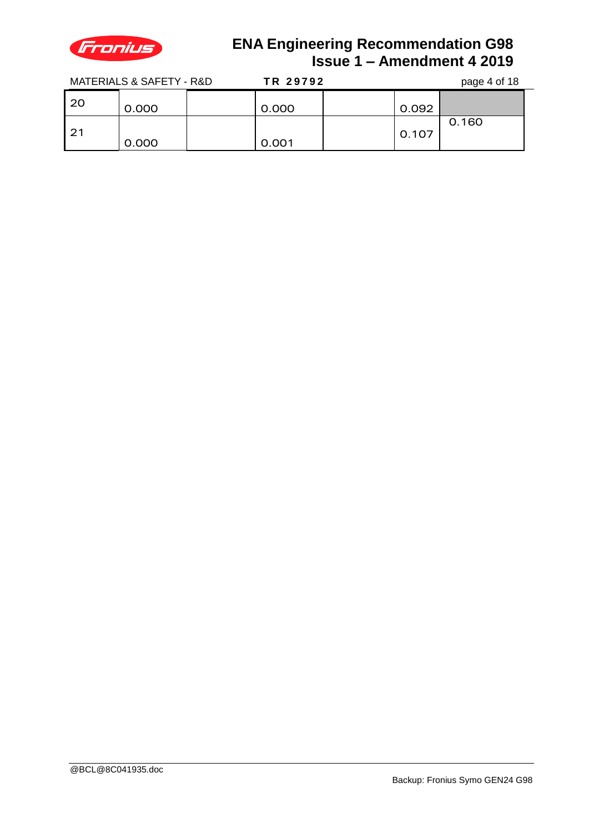

MATERIALS & SAFETY - R&D **T R 2 9 7 9 2** page 4 of 18

|    |       | . <b>.</b> . <b>.</b> . |       |  |       | $P^{\alpha}P^{\beta}$ . $P^{\beta}P^{\gamma}$ |
|----|-------|-------------------------|-------|--|-------|-----------------------------------------------|
| 20 | 0.000 |                         | 0.000 |  | 0.092 |                                               |
| 21 | 0.000 |                         | 0.001 |  | 0.107 | 0.160                                         |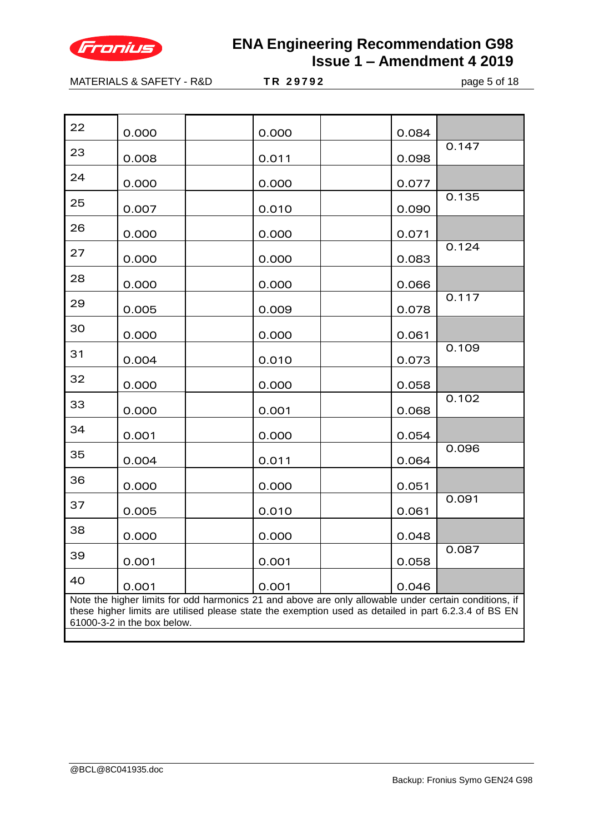

MATERIALS & SAFETY - R&D **T R 2 9 7 9 2** page 5 of 18

| 22                                                                                                                                                                                                                                            | 0.000 |  | 0.000 |  | 0.084 |       |
|-----------------------------------------------------------------------------------------------------------------------------------------------------------------------------------------------------------------------------------------------|-------|--|-------|--|-------|-------|
| 23                                                                                                                                                                                                                                            | 0.008 |  | 0.011 |  | 0.098 | 0.147 |
| 24                                                                                                                                                                                                                                            | 0.000 |  | 0.000 |  | 0.077 |       |
| 25                                                                                                                                                                                                                                            | 0.007 |  | 0.010 |  | 0.090 | 0.135 |
| 26                                                                                                                                                                                                                                            | 0.000 |  | 0.000 |  | 0.071 |       |
| 27                                                                                                                                                                                                                                            | 0.000 |  | 0.000 |  | 0.083 | 0.124 |
| 28                                                                                                                                                                                                                                            | 0.000 |  | 0.000 |  | 0.066 |       |
| 29                                                                                                                                                                                                                                            | 0.005 |  | 0.009 |  | 0.078 | 0.117 |
| 30                                                                                                                                                                                                                                            | 0.000 |  | 0.000 |  | 0.061 |       |
| 31                                                                                                                                                                                                                                            | 0.004 |  | 0.010 |  | 0.073 | 0.109 |
| 32                                                                                                                                                                                                                                            | 0.000 |  | 0.000 |  | 0.058 |       |
| 33                                                                                                                                                                                                                                            | 0.000 |  | 0.001 |  | 0.068 | 0.102 |
| 34                                                                                                                                                                                                                                            | 0.001 |  | 0.000 |  | 0.054 |       |
| 35                                                                                                                                                                                                                                            | 0.004 |  | 0.011 |  | 0.064 | 0.096 |
| 36                                                                                                                                                                                                                                            | 0.000 |  | 0.000 |  | 0.051 |       |
| 37                                                                                                                                                                                                                                            | 0.005 |  | 0.010 |  | 0.061 | 0.091 |
| 38                                                                                                                                                                                                                                            | 0.000 |  | 0.000 |  | 0.048 |       |
| 39                                                                                                                                                                                                                                            | 0.001 |  | 0.001 |  | 0.058 | 0.087 |
| 40                                                                                                                                                                                                                                            | 0.001 |  | 0.001 |  | 0.046 |       |
| Note the higher limits for odd harmonics 21 and above are only allowable under certain conditions, if<br>these higher limits are utilised please state the exemption used as detailed in part 6.2.3.4 of BS EN<br>61000-3-2 in the box below. |       |  |       |  |       |       |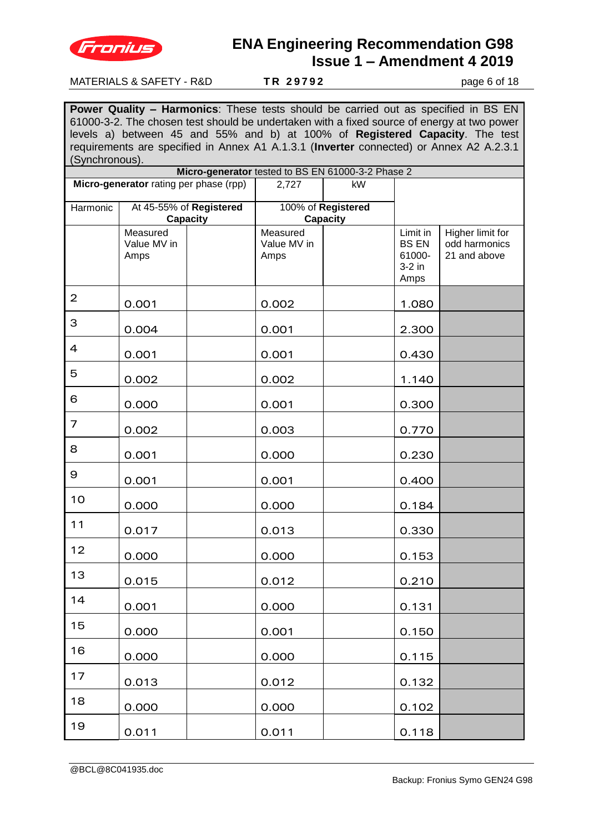

#### MATERIALS & SAFETY - R&D **T R 2 9 7 9 2** page 6 of 18

**Power Quality – Harmonics**: These tests should be carried out as specified in BS EN 61000-3-2. The chosen test should be undertaken with a fixed source of energy at two power levels a) between 45 and 55% and b) at 100% of **Registered Capacity**. The test requirements are specified in Annex A1 A.1.3.1 (**Inverter** connected) or Annex A2 A.2.3.1 (Synchronous).

|                                        |                                 |                                     |                                 | Micro-generator tested to BS EN 61000-3-2 Phase 2 |                                                        |                                                   |
|----------------------------------------|---------------------------------|-------------------------------------|---------------------------------|---------------------------------------------------|--------------------------------------------------------|---------------------------------------------------|
| Micro-generator rating per phase (rpp) |                                 | 2,727                               | kW                              |                                                   |                                                        |                                                   |
| Harmonic                               |                                 | At 45-55% of Registered<br>Capacity |                                 | 100% of Registered<br>Capacity                    |                                                        |                                                   |
|                                        | Measured<br>Value MV in<br>Amps |                                     | Measured<br>Value MV in<br>Amps |                                                   | Limit in<br><b>BS EN</b><br>61000-<br>$3-2$ in<br>Amps | Higher limit for<br>odd harmonics<br>21 and above |
| $\overline{2}$                         | 0.001                           |                                     | 0.002                           |                                                   | 1.080                                                  |                                                   |
| 3                                      | 0.004                           |                                     | 0.001                           |                                                   | 2.300                                                  |                                                   |
| $\overline{4}$                         | 0.001                           |                                     | 0.001                           |                                                   | 0.430                                                  |                                                   |
| 5                                      | 0.002                           |                                     | 0.002                           |                                                   | 1.140                                                  |                                                   |
| 6                                      | 0.000                           |                                     | 0.001                           |                                                   | 0.300                                                  |                                                   |
| 7                                      | 0.002                           |                                     | 0.003                           |                                                   | 0.770                                                  |                                                   |
| 8                                      | 0.001                           |                                     | 0.000                           |                                                   | 0.230                                                  |                                                   |
| 9                                      | 0.001                           |                                     | 0.001                           |                                                   | 0.400                                                  |                                                   |
| 10                                     | 0.000                           |                                     | 0.000                           |                                                   | 0.184                                                  |                                                   |
| 11                                     | 0.017                           |                                     | 0.013                           |                                                   | 0.330                                                  |                                                   |
| 12                                     | 0.000                           |                                     | 0.000                           |                                                   | 0.153                                                  |                                                   |
| 13                                     | 0.015                           |                                     | 0.012                           |                                                   | 0.210                                                  |                                                   |
| 14                                     | 0.001                           |                                     | 0.000                           |                                                   | 0.131                                                  |                                                   |
| 15                                     | 0.000                           |                                     | 0.001                           |                                                   | 0.150                                                  |                                                   |
| 16                                     | 0.000                           |                                     | 0.000                           |                                                   | 0.115                                                  |                                                   |
| 17                                     | 0.013                           |                                     | 0.012                           |                                                   | 0.132                                                  |                                                   |
| 18                                     | 0.000                           |                                     | 0.000                           |                                                   | 0.102                                                  |                                                   |
| 19                                     | 0.011                           |                                     | 0.011                           |                                                   | 0.118                                                  |                                                   |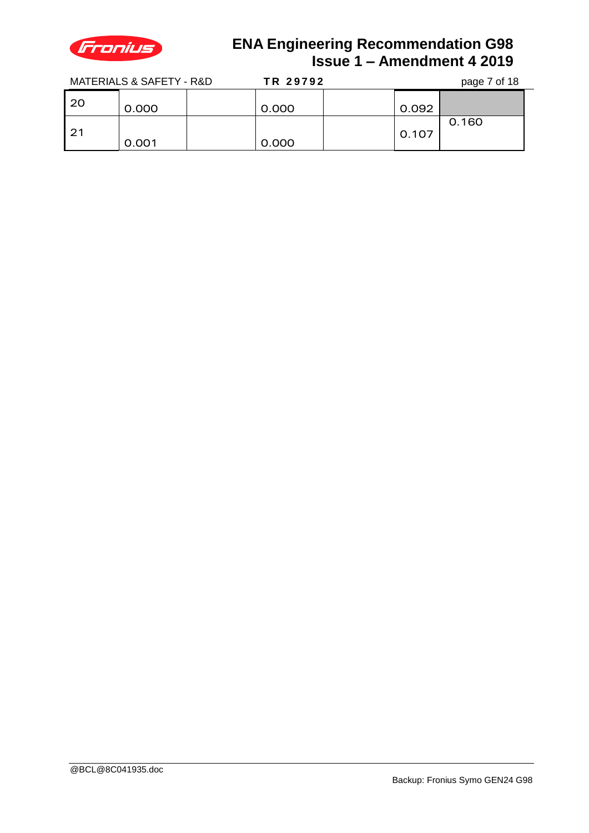

MATERIALS & SAFETY - R&D **TR 29792** page 7 of 18

| ה הי | $max 7 - 140$ |
|------|---------------|
|      |               |
|      |               |

|    |       | .     |       |       |  |
|----|-------|-------|-------|-------|--|
| 20 | 0.000 | 0.000 | 0.092 |       |  |
| 21 | 0.001 | 0.000 | 0.107 | 0.160 |  |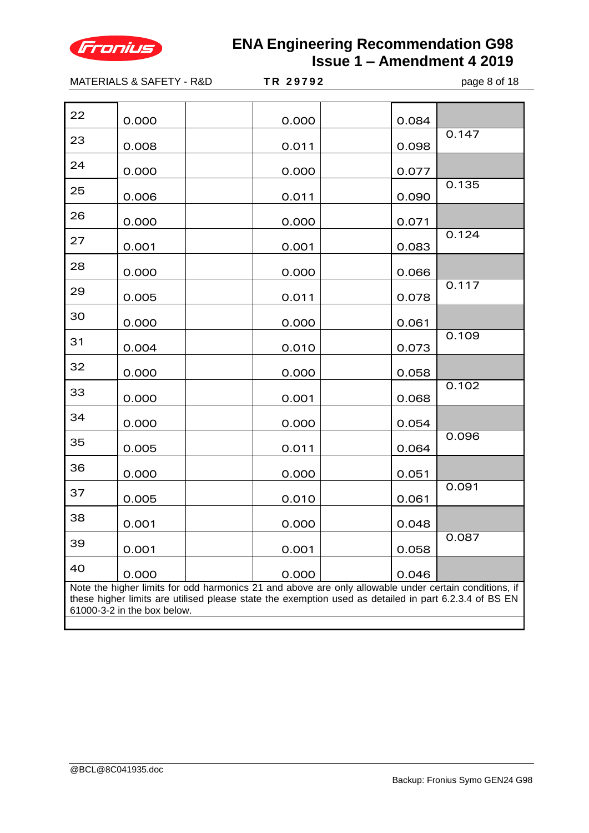

|                                                                                                                                                                                                                                               | MATERIALS & SAFETY - R&D | TR 29792 | page 8 of 18 |       |  |  |
|-----------------------------------------------------------------------------------------------------------------------------------------------------------------------------------------------------------------------------------------------|--------------------------|----------|--------------|-------|--|--|
|                                                                                                                                                                                                                                               |                          |          |              |       |  |  |
| 22                                                                                                                                                                                                                                            | 0.000                    | 0.000    | 0.084        |       |  |  |
| 23                                                                                                                                                                                                                                            | 0.008                    | 0.011    | 0.098        | 0.147 |  |  |
| 24                                                                                                                                                                                                                                            | 0.000                    | 0.000    | 0.077        |       |  |  |
| 25                                                                                                                                                                                                                                            | 0.006                    | 0.011    | 0.090        | 0.135 |  |  |
| 26                                                                                                                                                                                                                                            | 0.000                    | 0.000    | 0.071        |       |  |  |
| 27                                                                                                                                                                                                                                            | 0.001                    | 0.001    | 0.083        | 0.124 |  |  |
| 28                                                                                                                                                                                                                                            | 0.000                    | 0.000    | 0.066        |       |  |  |
| 29                                                                                                                                                                                                                                            | 0.005                    | 0.011    | 0.078        | 0.117 |  |  |
| 30                                                                                                                                                                                                                                            | 0.000                    | 0.000    | 0.061        |       |  |  |
| 31                                                                                                                                                                                                                                            | 0.004                    | 0.010    | 0.073        | 0.109 |  |  |
| 32                                                                                                                                                                                                                                            | 0.000                    | 0.000    | 0.058        |       |  |  |
| 33                                                                                                                                                                                                                                            | 0.000                    | 0.001    | 0.068        | 0.102 |  |  |
| 34                                                                                                                                                                                                                                            | 0.000                    | 0.000    | 0.054        |       |  |  |
| 35                                                                                                                                                                                                                                            | 0.005                    | 0.011    | 0.064        | 0.096 |  |  |
| 36                                                                                                                                                                                                                                            | 0.000                    | 0.000    | 0.051        |       |  |  |
| 37                                                                                                                                                                                                                                            | 0.005                    | 0.010    | 0.061        | 0.091 |  |  |
| 38                                                                                                                                                                                                                                            | 0.001                    | 0.000    | 0.048        |       |  |  |
| 39                                                                                                                                                                                                                                            | 0.001                    | 0.001    | 0.058        | 0.087 |  |  |
| 40                                                                                                                                                                                                                                            | 0.000                    | 0.000    | 0.046        |       |  |  |
| Note the higher limits for odd harmonics 21 and above are only allowable under certain conditions, if<br>these higher limits are utilised please state the exemption used as detailed in part 6.2.3.4 of BS EN<br>61000-3-2 in the box below. |                          |          |              |       |  |  |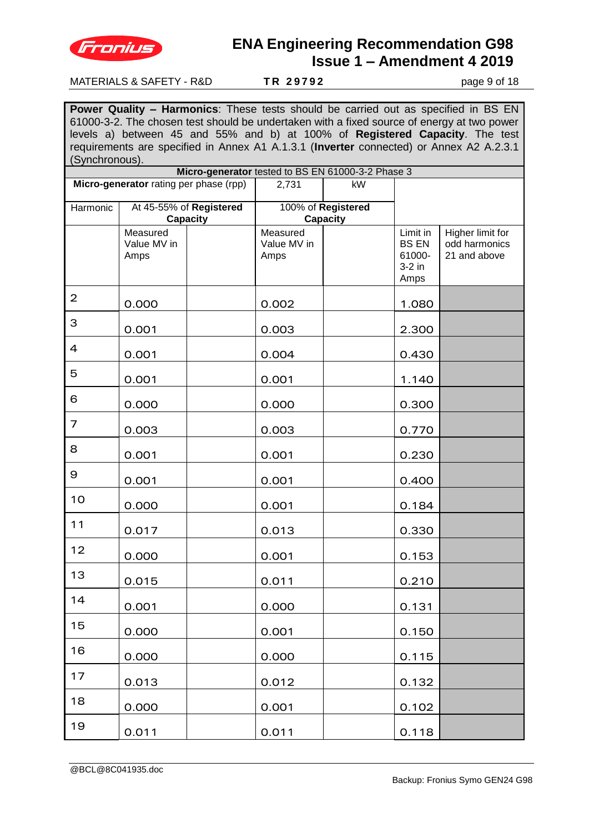

#### MATERIALS & SAFETY - R&D **TR 29792** page 9 of 18

**Power Quality – Harmonics**: These tests should be carried out as specified in BS EN 61000-3-2. The chosen test should be undertaken with a fixed source of energy at two power levels a) between 45 and 55% and b) at 100% of **Registered Capacity**. The test requirements are specified in Annex A1 A.1.3.1 (**Inverter** connected) or Annex A2 A.2.3.1 (Synchronous).

|                |                                        |                                     |                                 | Micro-generator tested to BS EN 61000-3-2 Phase 3 |                                                        |                                                   |
|----------------|----------------------------------------|-------------------------------------|---------------------------------|---------------------------------------------------|--------------------------------------------------------|---------------------------------------------------|
|                | Micro-generator rating per phase (rpp) |                                     | 2,731                           | kW                                                |                                                        |                                                   |
| Harmonic       |                                        | At 45-55% of Registered<br>Capacity |                                 | 100% of Registered<br>Capacity                    |                                                        |                                                   |
|                | Measured<br>Value MV in<br>Amps        |                                     | Measured<br>Value MV in<br>Amps |                                                   | Limit in<br><b>BS EN</b><br>61000-<br>$3-2$ in<br>Amps | Higher limit for<br>odd harmonics<br>21 and above |
| $\overline{2}$ | 0.000                                  |                                     | 0.002                           |                                                   | 1.080                                                  |                                                   |
| 3              | 0.001                                  |                                     | 0.003                           |                                                   | 2.300                                                  |                                                   |
| $\overline{4}$ | 0.001                                  |                                     | 0.004                           |                                                   | 0.430                                                  |                                                   |
| 5              | 0.001                                  |                                     | 0.001                           |                                                   | 1.140                                                  |                                                   |
| 6              | 0.000                                  |                                     | 0.000                           |                                                   | 0.300                                                  |                                                   |
| 7              | 0.003                                  |                                     | 0.003                           |                                                   | 0.770                                                  |                                                   |
| 8              | 0.001                                  |                                     | 0.001                           |                                                   | 0.230                                                  |                                                   |
| 9              | 0.001                                  |                                     | 0.001                           |                                                   | 0.400                                                  |                                                   |
| 10             | 0.000                                  |                                     | 0.001                           |                                                   | 0.184                                                  |                                                   |
| 11             | 0.017                                  |                                     | 0.013                           |                                                   | 0.330                                                  |                                                   |
| 12             | 0.000                                  |                                     | 0.001                           |                                                   | 0.153                                                  |                                                   |
| 13             | 0.015                                  |                                     | 0.011                           |                                                   | 0.210                                                  |                                                   |
| 14             | 0.001                                  |                                     | 0.000                           |                                                   | 0.131                                                  |                                                   |
| 15             | 0.000                                  |                                     | 0.001                           |                                                   | 0.150                                                  |                                                   |
| 16             | 0.000                                  |                                     | 0.000                           |                                                   | 0.115                                                  |                                                   |
| 17             | 0.013                                  |                                     | 0.012                           |                                                   | 0.132                                                  |                                                   |
| 18             | 0.000                                  |                                     | 0.001                           |                                                   | 0.102                                                  |                                                   |
| 19             | 0.011                                  |                                     | 0.011                           |                                                   | 0.118                                                  |                                                   |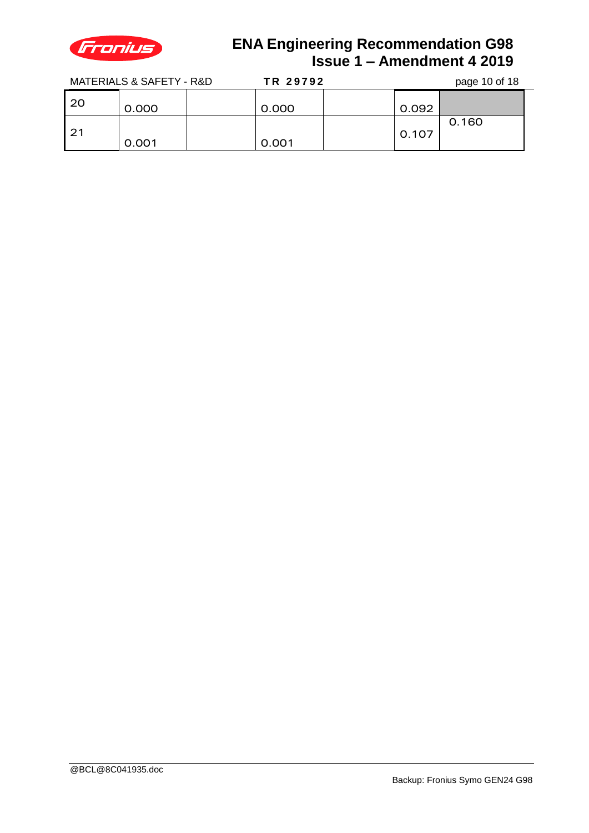

MATERIALS & SAFETY - R&D **TR 2** 

| _ _ _ _ _ |  |  |                    |  |
|-----------|--|--|--------------------|--|
|           |  |  |                    |  |
| 0702      |  |  | $p_{200}$ 10 of 18 |  |

|      | MAILNALO & OALLIT - N&D | IN <i>L</i> JIJZ |       | paye to off to |  |
|------|-------------------------|------------------|-------|----------------|--|
| 20   | 0.000                   | 0.000            | 0.092 |                |  |
| l 21 | 0.001                   | 0.001            | 0.107 | 0.160          |  |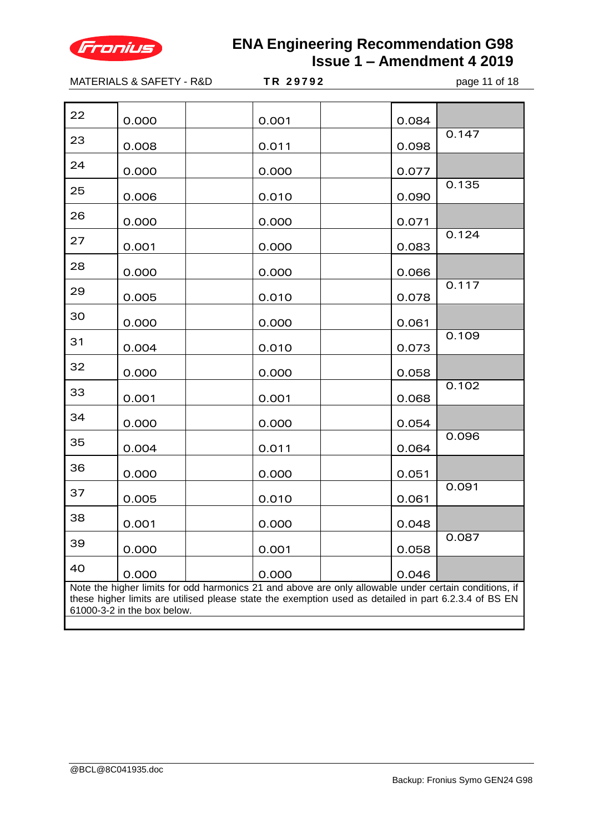

MATERIALS & SAFETY - R&D **T R 2 9 7 9 2** page 11 of 18  $22 \t\t\t 0.000 \t\t\t 0.001 \t\t 0.084$  $23$  0.008 0.011 0.012 0.098 0.147  $24 \t\t\t 0.000 \t\t\t 0.000 \t\t 0.077$  $25$  0.006 0.010 0.030 0.135  $26$  0.000 0.000 0.071  $27$  0.001 0.000 0.083 0.124  $28$  0.000 0.000 0.066  $29 \t\t\t 0.005 \t\t\t 0.010 \t\t 0.078$ 0.117  $30 \t\t\t 0.000 \t\t\t 0.000 \t\t 0.061$  $31$  0.004 0.010 0.073 0.109  $32 \t\t\t 0.000 \t\t\t 0.000 \t\t 0.058$  $33 \t\t\t 0.001 \t\t\t 0.001 \t\t 0.068$ 0.102  $34 \t\t\t 0.000 \t\t\t 0.000 \t\t 0.054$  $35$  0.004 0.011 0.064 0.096 <sup>36</sup> 0.000 0.000 0.051  $37$  0.005 0.010 0.010 0.061 0.091  $38$   $\big| 0.001 \big|$   $\big| 0.000 \big|$   $\big| 0.048$  $39 \t\t\t 0.000 \t\t\t 0.001 \t\t 0.058$ 0.087  $40$  0.000 0.000 0.046 Note the higher limits for odd harmonics 21 and above are only allowable under certain conditions, if these higher limits are utilised please state the exemption used as detailed in part 6.2.3.4 of BS EN 61000-3-2 in the box below.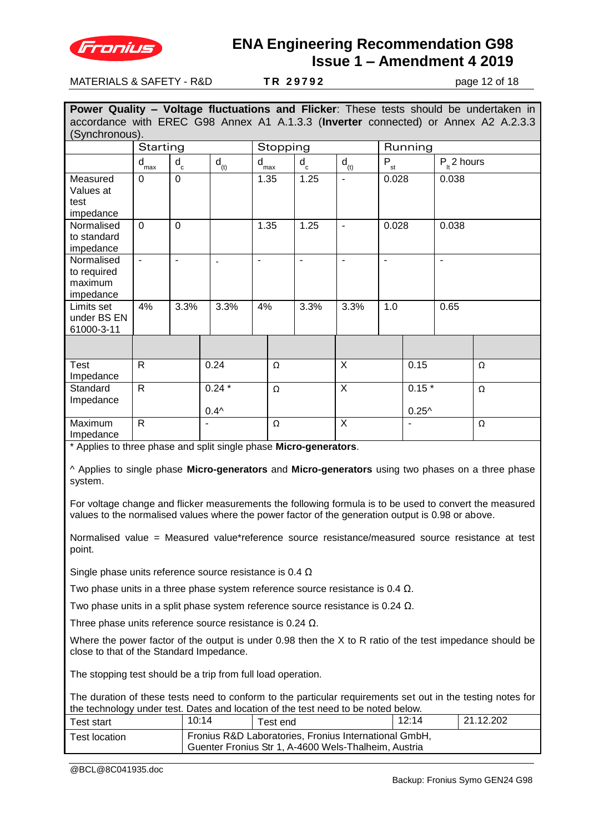

MATERIALS & SAFETY - R&D **T R 2 9 7 9 2** page 12 of 18

**Power Quality – Voltage fluctuations and Flicker**: These tests should be undertaken in accordance with EREC G98 Annex A1 A.1.3.3 (**Inverter** connected) or Annex A2 A.2.3.3 (Synchronous). Starting | Stopping | Running d max d c d<sub>(t)</sub> d  $d_{\text{max}}$ d c  $\overline{d}_{\left(t\right)}$  $P_{st}$  $P_{H}$  2 hours **Measured** Values at test impedance 0 | 0 | | | 1.35 | 1.25 | - | | 0.028 | 0.038 Normalised to standard impedance 0 | 0 | | | 1.35 | 1.25 | - | | 0.028 | 0.038 Normalised to required maximum impedance - - - - - - - - Limits set under BS EN 61000-3-11 4% 3.3% 3.3% 4% 3.3% 3.3% 1.0 0.65 Test Impedance R | 0.24 | Ω | X | 0.15 | Ω **Standard** Impedance  $R$  0.24  $*$  $0.4^{\wedge}$  $\Omega$  X 0.15<sup>\*</sup>  $0.25<sup>^</sup>$ Ω Maximum Impedance R - |Ω X |- |Ω

\* Applies to three phase and split single phase **Micro-generators**.

^ Applies to single phase **Micro-generators** and **Micro-generators** using two phases on a three phase system.

For voltage change and flicker measurements the following formula is to be used to convert the measured values to the normalised values where the power factor of the generation output is 0.98 or above.

Normalised value = Measured value\*reference source resistance/measured source resistance at test point.

Single phase units reference source resistance is 0.4 Ω

Two phase units in a three phase system reference source resistance is 0.4  $\Omega$ .

Two phase units in a split phase system reference source resistance is 0.24 Ω.

Three phase units reference source resistance is 0.24 Ω.

Where the power factor of the output is under 0.98 then the X to R ratio of the test impedance should be close to that of the Standard Impedance.

The stopping test should be a trip from full load operation.

The duration of these tests need to conform to the particular requirements set out in the testing notes for the technology under test. Dates and location of the test need to be noted below.

| .<br>™est start     | 10:14 | Test end                                                                                                      | 12:14 | 21.12.202 |
|---------------------|-------|---------------------------------------------------------------------------------------------------------------|-------|-----------|
| $\tau$ est location |       | Fronius R&D Laboratories, Fronius International GmbH,<br>Guenter Fronius Str 1, A-4600 Wels-Thalheim, Austria |       |           |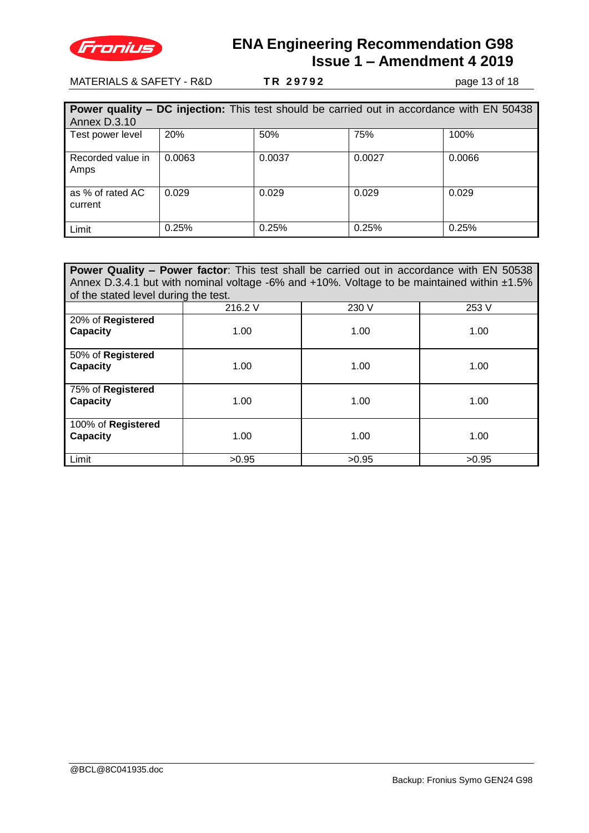

MATERIALS & SAFETY - R&D **T R 2 9 7 9 2** page 13 of 18

|                             | <b>Power quality – DC injection:</b> This test should be carried out in accordance with EN 50438 |        |        |        |  |  |  |
|-----------------------------|--------------------------------------------------------------------------------------------------|--------|--------|--------|--|--|--|
| Annex D.3.10                |                                                                                                  |        |        |        |  |  |  |
| Test power level            | 20%                                                                                              | 50%    | 75%    | 100%   |  |  |  |
| Recorded value in<br>Amps   | 0.0063                                                                                           | 0.0037 | 0.0027 | 0.0066 |  |  |  |
| as % of rated AC<br>current | 0.029                                                                                            | 0.029  | 0.029  | 0.029  |  |  |  |
| Limit                       | 0.25%                                                                                            | 0.25%  | 0.25%  | 0.25%  |  |  |  |

**Power Quality - Power factor:** This test shall be carried out in accordance with EN 50538 Annex D.3.4.1 but with nominal voltage -6% and +10%. Voltage to be maintained within ±1.5% of the stated level during the test.

|                                | ັ<br>216.2 V | 230 V | 253 V |
|--------------------------------|--------------|-------|-------|
| 20% of Registered<br>Capacity  | 1.00         | 1.00  | 1.00  |
| 50% of Registered<br>Capacity  | 1.00         | 1.00  | 1.00  |
| 75% of Registered<br>Capacity  | 1.00         | 1.00  | 1.00  |
| 100% of Registered<br>Capacity | 1.00         | 1.00  | 1.00  |
| Limit                          | >0.95        | >0.95 | >0.95 |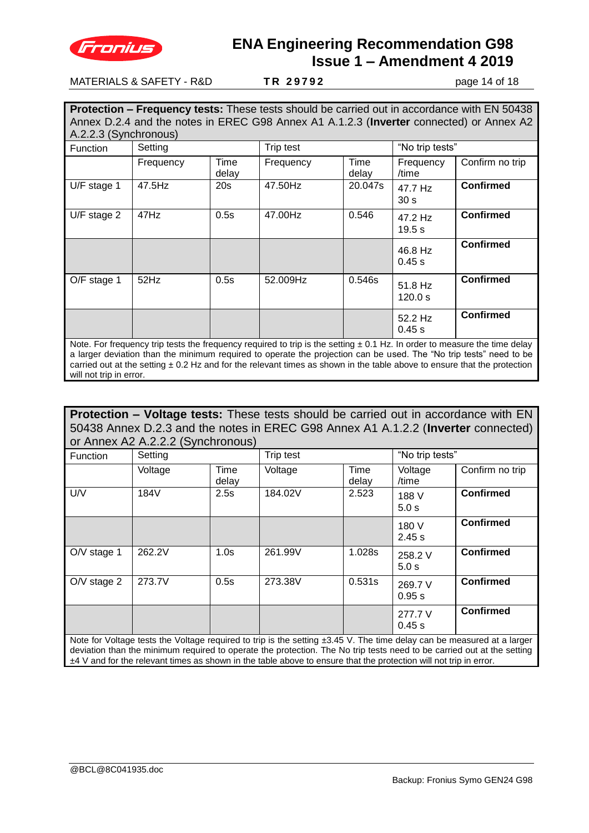

#### MATERIALS & SAFETY - R&D **T R 2 9 7 9 2** page 14 of 18

**Protection – Frequency tests:** These tests should be carried out in accordance with EN 50438 Annex D.2.4 and the notes in EREC G98 Annex A1 A.1.2.3 (**Inverter** connected) or Annex A2 A.2.2.3 (Synchronous)

| <b>Function</b> | Setting   |               | Trip test                                                                                                                     |               | "No trip tests"            |                  |
|-----------------|-----------|---------------|-------------------------------------------------------------------------------------------------------------------------------|---------------|----------------------------|------------------|
|                 | Frequency | Time<br>delay | Frequency                                                                                                                     | Time<br>delay | Frequency<br>/time         | Confirm no trip  |
| U/F stage 1     | 47.5Hz    | 20s           | 47.50Hz                                                                                                                       | 20.047s       | 47.7 Hz<br>30 <sub>s</sub> | <b>Confirmed</b> |
| $U/F$ stage 2   | 47Hz      | 0.5s          | 47.00Hz                                                                                                                       | 0.546         | 47.2 Hz<br>19.5 s          | <b>Confirmed</b> |
|                 |           |               |                                                                                                                               |               | 46.8 Hz<br>0.45 s          | <b>Confirmed</b> |
| O/F stage 1     | 52Hz      | 0.5s          | 52.009Hz                                                                                                                      | 0.546s        | 51.8 Hz<br>120.0 s         | <b>Confirmed</b> |
|                 |           |               |                                                                                                                               |               | 52.2 Hz<br>0.45 s          | <b>Confirmed</b> |
|                 |           |               | Note. For frequency trip tests the frequency required to trip is the setting $\pm$ 0.1 Hz. In order to measure the time delay |               |                            |                  |

a larger deviation than the minimum required to operate the projection can be used. The "No trip tests" need to be carried out at the setting  $\pm$  0.2 Hz and for the relevant times as shown in the table above to ensure that the protection will not trip in error.

**Protection – Voltage tests:** These tests should be carried out in accordance with EN 50438 Annex D.2.3 and the notes in EREC G98 Annex A1 A.1.2.2 (**Inverter** connected) or Annex A2 A.2.2.2 (Synchronous)

| Function      | Setting                                                                                                                  |       | Trip test |        | "No trip tests"   |                  |  |
|---------------|--------------------------------------------------------------------------------------------------------------------------|-------|-----------|--------|-------------------|------------------|--|
|               | Voltage                                                                                                                  | Time  | Voltage   | Time   | Voltage           | Confirm no trip  |  |
|               |                                                                                                                          | delay |           | delay  | /time             |                  |  |
| U/V           | 184V                                                                                                                     | 2.5s  | 184.02V   | 2.523  | 188 V<br>5.0 s    | <b>Confirmed</b> |  |
|               |                                                                                                                          |       |           |        | 180 V<br>2.45 s   | <b>Confirmed</b> |  |
| $O/V$ stage 1 | 262.2V                                                                                                                   | 1.0s  | 261.99V   | 1.028s | 258.2 V<br>5.0 s  | <b>Confirmed</b> |  |
| $O/V$ stage 2 | 273.7V                                                                                                                   | 0.5s  | 273.38V   | 0.531s | 269.7 V<br>0.95 s | <b>Confirmed</b> |  |
|               |                                                                                                                          |       |           |        | 277.7 V<br>0.45 s | <b>Confirmed</b> |  |
|               | Note for Voltage tests the Voltage required to trip is the setting $+3.45$ V. The time delay can be measured at a larger |       |           |        |                   |                  |  |

Note for Voltage tests the Voltage required to trip is the setting ±3.45 V. The time delay can be measured at a larger deviation than the minimum required to operate the protection. The No trip tests need to be carried out at the setting ±4 V and for the relevant times as shown in the table above to ensure that the protection will not trip in error.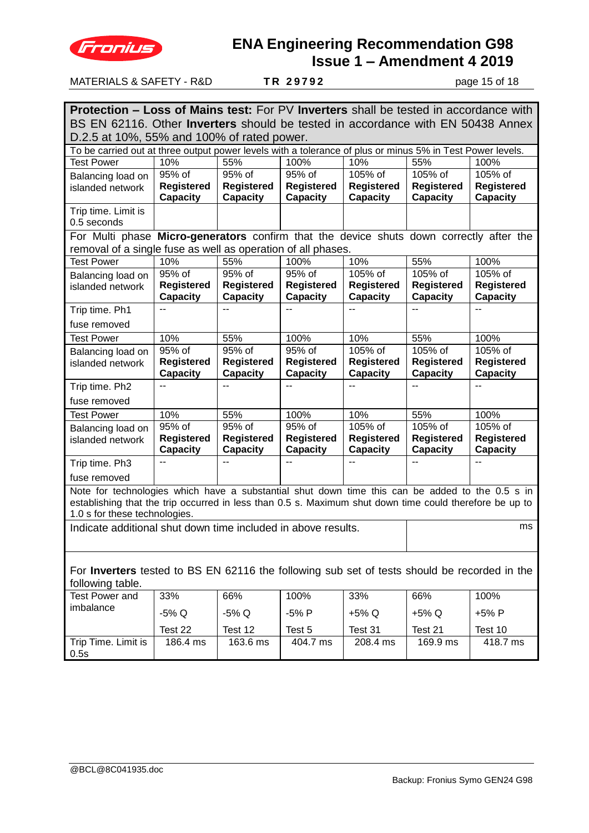

| <b>MATERIALS &amp; SAFETY - R&amp;D</b><br>TR 29792<br>page 15 of 18                                                                                                                                       |                                                                     |                                      |                                      |                                      |                               |                                      |  |
|------------------------------------------------------------------------------------------------------------------------------------------------------------------------------------------------------------|---------------------------------------------------------------------|--------------------------------------|--------------------------------------|--------------------------------------|-------------------------------|--------------------------------------|--|
|                                                                                                                                                                                                            |                                                                     |                                      |                                      |                                      |                               |                                      |  |
| <b>Protection – Loss of Mains test:</b> For PV <b>Inverters</b> shall be tested in accordance with<br>BS EN 62116. Other <b>Inverters</b> should be tested in accordance with EN 50438 Annex               |                                                                     |                                      |                                      |                                      |                               |                                      |  |
| D.2.5 at 10%, 55% and 100% of rated power.                                                                                                                                                                 |                                                                     |                                      |                                      |                                      |                               |                                      |  |
| To be carried out at three output power levels with a tolerance of plus or minus 5% in Test Power levels.                                                                                                  |                                                                     |                                      |                                      |                                      |                               |                                      |  |
| <b>Test Power</b>                                                                                                                                                                                          | 10%                                                                 | 55%                                  | 100%                                 | 10%                                  | 55%                           | 100%                                 |  |
| Balancing load on                                                                                                                                                                                          | 95% of                                                              | 95% of                               | 95% of                               | 105% of                              | 105% of                       | 105% of                              |  |
| islanded network                                                                                                                                                                                           | <b>Registered</b><br><b>Capacity</b>                                | Registered<br><b>Capacity</b>        | <b>Registered</b><br>Capacity        | <b>Registered</b><br><b>Capacity</b> | <b>Registered</b><br>Capacity | <b>Registered</b><br><b>Capacity</b> |  |
| Trip time. Limit is<br>0.5 seconds                                                                                                                                                                         |                                                                     |                                      |                                      |                                      |                               |                                      |  |
| For Multi phase Micro-generators confirm that the device shuts down correctly after the                                                                                                                    |                                                                     |                                      |                                      |                                      |                               |                                      |  |
| removal of a single fuse as well as operation of all phases.                                                                                                                                               |                                                                     |                                      |                                      |                                      |                               |                                      |  |
| <b>Test Power</b>                                                                                                                                                                                          | 10%                                                                 | 55%                                  | 100%                                 | 10%                                  | 55%                           | 100%                                 |  |
| Balancing load on                                                                                                                                                                                          | 95% of                                                              | 95% of                               | 95% of                               | 105% of                              | 105% of                       | 105% of                              |  |
| islanded network                                                                                                                                                                                           | <b>Registered</b>                                                   | <b>Registered</b>                    | <b>Registered</b>                    | <b>Registered</b>                    | <b>Registered</b>             | <b>Registered</b>                    |  |
|                                                                                                                                                                                                            | <b>Capacity</b>                                                     | <b>Capacity</b>                      | Capacity                             | <b>Capacity</b>                      | Capacity                      | <b>Capacity</b>                      |  |
| Trip time. Ph1                                                                                                                                                                                             |                                                                     |                                      |                                      |                                      |                               |                                      |  |
| fuse removed                                                                                                                                                                                               |                                                                     |                                      |                                      |                                      |                               |                                      |  |
| <b>Test Power</b>                                                                                                                                                                                          | 10%                                                                 | 55%                                  | 100%                                 | 10%                                  | 55%                           | 100%                                 |  |
| Balancing load on                                                                                                                                                                                          | $95\%$ of                                                           | 95% of                               | 95% of                               | 105% of                              | 105% of                       | 105% of                              |  |
| islanded network                                                                                                                                                                                           | <b>Registered</b><br><b>Capacity</b>                                | Registered<br><b>Capacity</b>        | <b>Registered</b><br><b>Capacity</b> | <b>Registered</b><br><b>Capacity</b> | <b>Registered</b><br>Capacity | <b>Registered</b><br><b>Capacity</b> |  |
| Trip time. Ph2                                                                                                                                                                                             | $-$                                                                 |                                      |                                      |                                      |                               |                                      |  |
| fuse removed                                                                                                                                                                                               |                                                                     |                                      |                                      |                                      |                               |                                      |  |
| <b>Test Power</b>                                                                                                                                                                                          | 10%                                                                 | 55%                                  | 100%                                 | 10%                                  | 55%                           | 100%                                 |  |
| Balancing load on                                                                                                                                                                                          | 95% of                                                              | 95% of                               | 95% of                               | 105% of                              | 105% of                       | 105% of                              |  |
| islanded network                                                                                                                                                                                           | <b>Registered</b><br><b>Capacity</b>                                | <b>Registered</b><br><b>Capacity</b> | <b>Registered</b><br><b>Capacity</b> | <b>Registered</b><br><b>Capacity</b> | <b>Registered</b><br>Capacity | <b>Registered</b><br>Capacity        |  |
| Trip time. Ph3                                                                                                                                                                                             | $-$                                                                 | $\overline{a}$                       | $\overline{a}$                       | $-$                                  | $\sim$                        | $\sim$                               |  |
| fuse removed                                                                                                                                                                                               |                                                                     |                                      |                                      |                                      |                               |                                      |  |
| Note for technologies which have a substantial shut down time this can be added to the 0.5 s in<br>establishing that the trip occurred in less than 0.5 s. Maximum shut down time could therefore be up to |                                                                     |                                      |                                      |                                      |                               |                                      |  |
| 1.0 s for these technologies.                                                                                                                                                                              |                                                                     |                                      |                                      |                                      |                               |                                      |  |
|                                                                                                                                                                                                            | ms<br>Indicate additional shut down time included in above results. |                                      |                                      |                                      |                               |                                      |  |
| For <b>Inverters</b> tested to BS EN 62116 the following sub set of tests should be recorded in the                                                                                                        |                                                                     |                                      |                                      |                                      |                               |                                      |  |
| following table.                                                                                                                                                                                           |                                                                     |                                      |                                      |                                      |                               |                                      |  |
| <b>Test Power and</b>                                                                                                                                                                                      | 33%                                                                 | 66%                                  | 100%                                 | 33%                                  | 66%                           | 100%                                 |  |
| imbalance                                                                                                                                                                                                  | -5% Q                                                               | $-5\%$ Q                             | -5% P                                | +5% Q                                | +5% Q                         | +5% P                                |  |
|                                                                                                                                                                                                            | Test 22                                                             | Test 12                              | Test 5                               | Test 31                              | Test 21                       | Test 10                              |  |
| Trip Time. Limit is<br>0.5s                                                                                                                                                                                | 186.4 ms                                                            | 163.6 ms                             | 404.7 ms                             | 208.4 ms                             | 169.9 ms                      | 418.7 ms                             |  |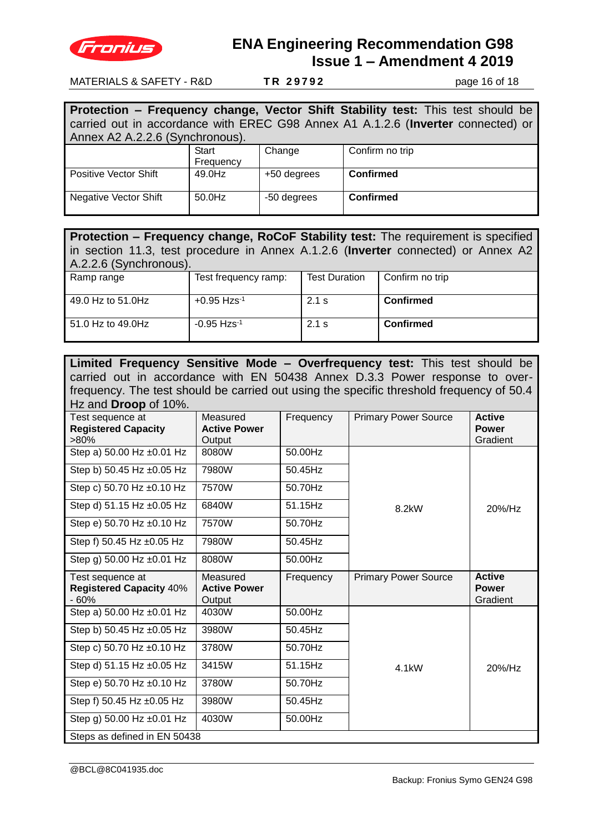

MATERIALS & SAFETY - R&D **T R 2 9 7 9 2** page 16 of 18

|                                                                                  |           |             | Protection - Frequency change, Vector Shift Stability test: This test should be |  |  |  |  |
|----------------------------------------------------------------------------------|-----------|-------------|---------------------------------------------------------------------------------|--|--|--|--|
| carried out in accordance with EREC G98 Annex A1 A.1.2.6 (Inverter connected) or |           |             |                                                                                 |  |  |  |  |
| Annex A2 A.2.2.6 (Synchronous).                                                  |           |             |                                                                                 |  |  |  |  |
|                                                                                  | Start     | Change      | Confirm no trip                                                                 |  |  |  |  |
|                                                                                  | Frequency |             |                                                                                 |  |  |  |  |
| Positive Vector Shift                                                            | 49.0Hz    | +50 degrees | <b>Confirmed</b>                                                                |  |  |  |  |
| <b>Negative Vector Shift</b>                                                     | 50.0Hz    | -50 degrees | <b>Confirmed</b>                                                                |  |  |  |  |

| Protection – Frequency change, RoCoF Stability test: The requirement is specified<br>in section 11.3, test procedure in Annex A.1.2.6 (Inverter connected) or Annex A2<br>A.2.2.6 (Synchronous). |                           |                      |                  |  |  |  |
|--------------------------------------------------------------------------------------------------------------------------------------------------------------------------------------------------|---------------------------|----------------------|------------------|--|--|--|
| Ramp range                                                                                                                                                                                       | Test frequency ramp:      | <b>Test Duration</b> | Confirm no trip  |  |  |  |
| 49.0 Hz to 51.0Hz                                                                                                                                                                                | $+0.95$ Hzs <sup>-1</sup> | $2.1$ s              | <b>Confirmed</b> |  |  |  |
| 51.0 Hz to 49.0Hz                                                                                                                                                                                | $-0.95$ Hzs <sup>-1</sup> | $2.1$ s              | <b>Confirmed</b> |  |  |  |

| Limited Frequency Sensitive Mode - Overfrequency test: This test should be               |                                                                             |           |                             |                                           |  |  |  |
|------------------------------------------------------------------------------------------|-----------------------------------------------------------------------------|-----------|-----------------------------|-------------------------------------------|--|--|--|
|                                                                                          | carried out in accordance with EN 50438 Annex D.3.3 Power response to over- |           |                             |                                           |  |  |  |
| frequency. The test should be carried out using the specific threshold frequency of 50.4 |                                                                             |           |                             |                                           |  |  |  |
| Hz and <b>Droop</b> of 10%.                                                              |                                                                             |           |                             |                                           |  |  |  |
| Test sequence at<br><b>Registered Capacity</b><br>$>80\%$                                | Measured<br><b>Active Power</b><br>Output                                   | Frequency | <b>Primary Power Source</b> | <b>Active</b><br><b>Power</b><br>Gradient |  |  |  |
| Step a) 50.00 Hz ±0.01 Hz                                                                | 8080W                                                                       | 50.00Hz   |                             |                                           |  |  |  |
| Step b) 50.45 Hz ±0.05 Hz                                                                | 7980W                                                                       | 50.45Hz   |                             |                                           |  |  |  |
| Step c) 50.70 Hz ±0.10 Hz                                                                | 7570W                                                                       | 50.70Hz   |                             |                                           |  |  |  |
| Step d) 51.15 Hz ±0.05 Hz                                                                | 6840W                                                                       | 51.15Hz   | 8.2kW                       | $20\%$ /Hz                                |  |  |  |
| Step e) 50.70 Hz ±0.10 Hz                                                                | 7570W                                                                       | 50.70Hz   |                             |                                           |  |  |  |
| Step f) 50.45 Hz ±0.05 Hz                                                                | 7980W                                                                       | 50.45Hz   |                             |                                           |  |  |  |
| Step g) 50.00 Hz ±0.01 Hz                                                                | 8080W                                                                       | 50.00Hz   |                             |                                           |  |  |  |
| Test sequence at<br><b>Registered Capacity 40%</b><br>$-60%$                             | Measured<br><b>Active Power</b><br>Output                                   | Frequency | <b>Primary Power Source</b> | <b>Active</b><br><b>Power</b><br>Gradient |  |  |  |
| Step a) 50.00 Hz ±0.01 Hz                                                                | 4030W                                                                       | 50.00Hz   |                             |                                           |  |  |  |
| Step b) 50.45 Hz ±0.05 Hz                                                                | 3980W                                                                       | 50.45Hz   |                             |                                           |  |  |  |
| Step c) 50.70 Hz ±0.10 Hz                                                                | 3780W                                                                       | 50.70Hz   |                             |                                           |  |  |  |
| Step d) 51.15 Hz ±0.05 Hz                                                                | 3415W                                                                       | 51.15Hz   | 4.1 <sub>k</sub> W          | 20%/Hz                                    |  |  |  |
| Step e) 50.70 Hz ±0.10 Hz                                                                | 3780W                                                                       | 50.70Hz   |                             |                                           |  |  |  |
| Step f) 50.45 Hz ±0.05 Hz                                                                | 3980W                                                                       | 50.45Hz   |                             |                                           |  |  |  |
| Step g) 50.00 Hz ±0.01 Hz                                                                | 4030W                                                                       | 50.00Hz   |                             |                                           |  |  |  |
| Steps as defined in EN 50438                                                             |                                                                             |           |                             |                                           |  |  |  |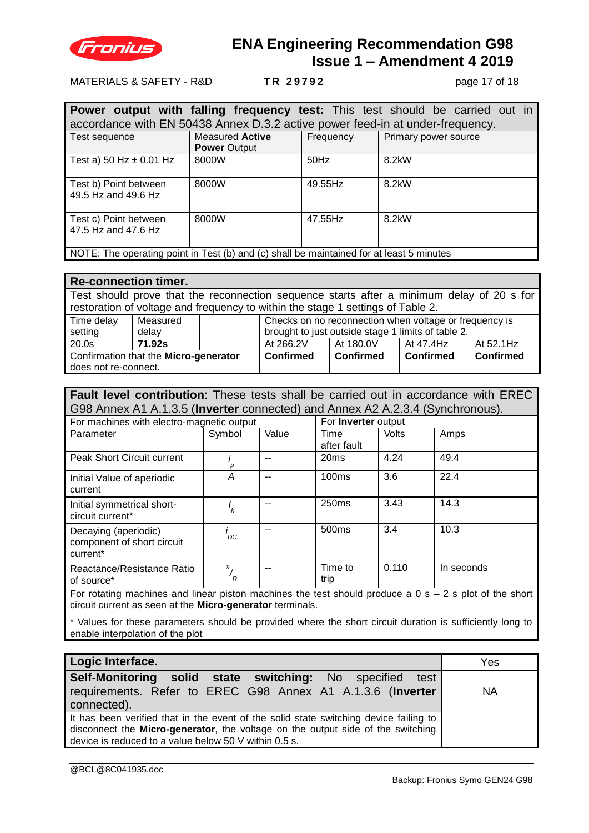

MATERIALS & SAFETY - R&D **T R 2 9 7 9 2** page 17 of 18

|                                                                                          |                                                                               |           | <b>Power output with falling frequency test:</b> This test should be carried out in |  |  |  |  |  |  |
|------------------------------------------------------------------------------------------|-------------------------------------------------------------------------------|-----------|-------------------------------------------------------------------------------------|--|--|--|--|--|--|
|                                                                                          | accordance with EN 50438 Annex D.3.2 active power feed-in at under-frequency. |           |                                                                                     |  |  |  |  |  |  |
| Test sequence                                                                            | <b>Measured Active</b><br><b>Power Output</b>                                 | Frequency | Primary power source                                                                |  |  |  |  |  |  |
| Test a) 50 Hz $\pm$ 0.01 Hz                                                              | 8000W                                                                         | $50$ Hz   | 8.2kW                                                                               |  |  |  |  |  |  |
| Test b) Point between<br>49.5 Hz and 49.6 Hz                                             | 8000W                                                                         | 49.55Hz   | 8.2kW                                                                               |  |  |  |  |  |  |
| Test c) Point between<br>47.5 Hz and 47.6 Hz                                             | 8000W                                                                         | 47.55Hz   | 8.2kW                                                                               |  |  |  |  |  |  |
| NOTE: The operating point in Test (b) and (c) shall be maintained for at least 5 minutes |                                                                               |           |                                                                                     |  |  |  |  |  |  |

| <b>Re-connection timer.</b>                                                               |          |                  |                                                        |                  |                  |           |  |
|-------------------------------------------------------------------------------------------|----------|------------------|--------------------------------------------------------|------------------|------------------|-----------|--|
| Test should prove that the reconnection sequence starts after a minimum delay of 20 s for |          |                  |                                                        |                  |                  |           |  |
| restoration of voltage and frequency to within the stage 1 settings of Table 2.           |          |                  |                                                        |                  |                  |           |  |
| Time delay                                                                                | Measured |                  | Checks on no reconnection when voltage or frequency is |                  |                  |           |  |
| setting                                                                                   | delay    |                  | brought to just outside stage 1 limits of table 2.     |                  |                  |           |  |
| 20.0s                                                                                     | 71.92s   |                  | At 266.2V                                              | At 180.0V        | At 47.4Hz        | At 52.1Hz |  |
| Confirmation that the Micro-generator                                                     |          | <b>Confirmed</b> | <b>Confirmed</b>                                       | <b>Confirmed</b> | <b>Confirmed</b> |           |  |
| does not re-connect.                                                                      |          |                  |                                                        |                  |                  |           |  |

| <b>Fault level contribution:</b> These tests shall be carried out in accordance with EREC |                                           |  |                            |                           |  |  |  |
|-------------------------------------------------------------------------------------------|-------------------------------------------|--|----------------------------|---------------------------|--|--|--|
| G98 Annex A1 A.1.3.5 (Inverter connected) and Annex A2 A.2.3.4 (Synchronous).             |                                           |  |                            |                           |  |  |  |
| For machines with electro-magnetic output                                                 |                                           |  | For <b>Inverter</b> output |                           |  |  |  |
| $\sum_{n=1}^{\infty}$                                                                     | $\sim$ $\sim$ $\sim$ $\sim$ $\sim$ $\sim$ |  | <b>There</b>               | $\mathbf{V}$ $\mathbf{L}$ |  |  |  |

| Parameter                                                                                                | Symbol             | Value | Time<br>after fault | Volts | Amps       |
|----------------------------------------------------------------------------------------------------------|--------------------|-------|---------------------|-------|------------|
| Peak Short Circuit current                                                                               |                    |       | 20ms                | 4.24  | 49.4       |
| Initial Value of aperiodic<br>current                                                                    | Α                  |       | 100ms               | 3.6   | 22.4       |
| Initial symmetrical short-<br>circuit current*                                                           | k                  |       | 250 <sub>ms</sub>   | 3.43  | 14.3       |
| Decaying (aperiodic)<br>component of short circuit<br>current*                                           | 'DC                |       | 500 <sub>ms</sub>   | 3.4   | 10.3       |
| Reactance/Resistance Ratio<br>of source*                                                                 | $x_{1}$<br>$r_{R}$ |       | Time to<br>trip     | 0.110 | In seconds |
| For rotating machines and linear piston machines the test should produce a $0 s - 2 s$ plot of the short |                    |       |                     |       |            |

circuit current as seen at the **Micro-generator** terminals.

\* Values for these parameters should be provided where the short circuit duration is sufficiently long to enable interpolation of the plot

| Logic Interface.                                                                                                                                                                                                                  | Yes       |
|-----------------------------------------------------------------------------------------------------------------------------------------------------------------------------------------------------------------------------------|-----------|
| Self-Monitoring solid state switching: No specified test<br>requirements. Refer to EREC G98 Annex A1 A.1.3.6 (Inverter<br>connected).                                                                                             | <b>NA</b> |
| It has been verified that in the event of the solid state switching device failing to<br>disconnect the Micro-generator, the voltage on the output side of the switching<br>device is reduced to a value below 50 V within 0.5 s. |           |